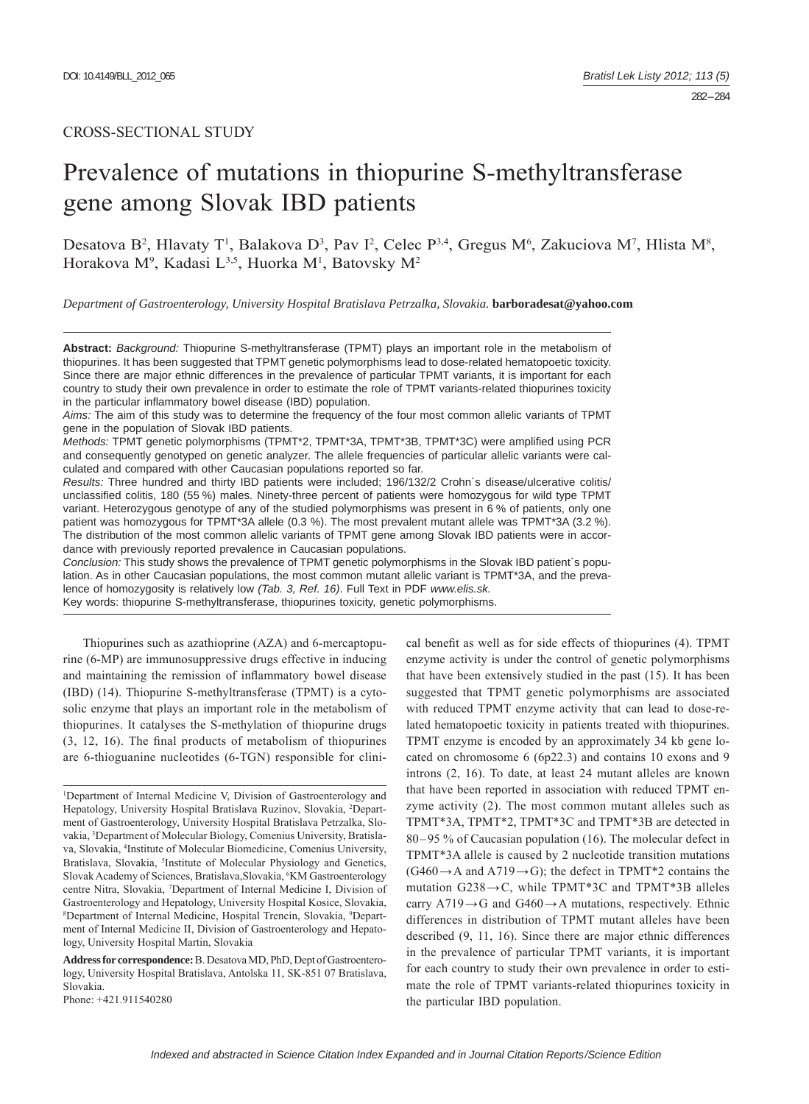# CROSS-SECTIONAL STUDY

# Prevalence of mutations in thiopurine S-methyltransferase gene among Slovak IBD patients

Desatova B<sup>2</sup>, Hlavaty T<sup>1</sup>, Balakova D<sup>3</sup>, Pav I<sup>2</sup>, Celec P<sup>3,4</sup>, Gregus M<sup>6</sup>, Zakuciova M<sup>7</sup>, Hlista M<sup>8</sup>, Horakova M<sup>9</sup>, Kadasi L<sup>3,5</sup>, Huorka M<sup>1</sup>, Batovsky M<sup>2</sup>

*Department of Gastroenterology, University Hospital Bratislava Petrzalka, Slovakia.* **barboradesat@yahoo.com**

**Abstract:** *Background:* Thiopurine S-methyltransferase (TPMT) plays an important role in the metabolism of thiopurines. It has been suggested that TPMT genetic polymorphisms lead to dose-related hematopoetic toxicity. Since there are major ethnic differences in the prevalence of particular TPMT variants, it is important for each country to study their own prevalence in order to estimate the role of TPMT variants-related thiopurines toxicity in the particular inflammatory bowel disease (IBD) population.

*Aims:* The aim of this study was to determine the frequency of the four most common allelic variants of TPMT gene in the population of Slovak IBD patients.

*Methods:* TPMT genetic polymorphisms (TPMT\*2, TPMT\*3A, TPMT\*3B, TPMT\*3C) were amplified using PCR and consequently genotyped on genetic analyzer. The allele frequencies of particular allelic variants were calculated and compared with other Caucasian populations reported so far.

*Results:* Three hundred and thirty IBD patients were included; 196/132/2 Crohn´s disease/ulcerative colitis/ unclassified colitis, 180 (55 %) males. Ninety-three percent of patients were homozygous for wild type TPMT variant. Heterozygous genotype of any of the studied polymorphisms was present in 6 % of patients, only one patient was homozygous for TPMT\*3A allele (0.3 %). The most prevalent mutant allele was TPMT\*3A (3.2 %). The distribution of the most common allelic variants of TPMT gene among Slovak IBD patients were in accordance with previously reported prevalence in Caucasian populations.

*Conclusion:* This study shows the prevalence of TPMT genetic polymorphisms in the Slovak IBD patient`s population. As in other Caucasian populations, the most common mutant allelic variant is TPMT\*3A, and the prevalence of homozygosity is relatively low *(Tab. 3, Ref. 16)*. Full Text in PDF *www.elis.sk.* Key words: thiopurine S-methyltransferase, thiopurines toxicity, genetic polymorphisms.

Thiopurines such as azathioprine (AZA) and 6-mercaptopurine (6-MP) are immunosuppressive drugs effective in inducing and maintaining the remission of inflammatory bowel disease (IBD) (14). Thiopurine S-methyltransferase (TPMT) is a cytosolic enzyme that plays an important role in the metabolism of thiopurines. It catalyses the S-methylation of thiopurine drugs  $(3, 12, 16)$ . The final products of metabolism of thiopurines are 6-thioguanine nucleotides (6-TGN) responsible for clini-

Phone: +421.911540280

cal benefit as well as for side effects of thiopurines (4). TPMT enzyme activity is under the control of genetic polymorphisms that have been extensively studied in the past (15). It has been suggested that TPMT genetic polymorphisms are associated with reduced TPMT enzyme activity that can lead to dose-related hematopoetic toxicity in patients treated with thiopurines. TPMT enzyme is encoded by an approximately 34 kb gene located on chromosome 6 (6p22.3) and contains 10 exons and 9 introns (2, 16). To date, at least 24 mutant alleles are known that have been reported in association with reduced TPMT enzyme activity (2). The most common mutant alleles such as TPMT\*3A, TPMT\*2, TPMT\*3C and TPMT\*3B are detected in 80–95 % of Caucasian population (16). The molecular defect in TPMT\*3A allele is caused by 2 nucleotide transition mutations  $(G460 \rightarrow A$  and A719 $\rightarrow G$ ); the defect in TPMT\*2 contains the mutation  $G238 \rightarrow C$ , while TPMT\*3C and TPMT\*3B alleles carry  $A719 \rightarrow G$  and  $G460 \rightarrow A$  mutations, respectively. Ethnic differences in distribution of TPMT mutant alleles have been described (9, 11, 16). Since there are major ethnic differences in the prevalence of particular TPMT variants, it is important for each country to study their own prevalence in order to estimate the role of TPMT variants-related thiopurines toxicity in the particular IBD population.

<sup>&</sup>lt;sup>1</sup>Department of Internal Medicine V, Division of Gastroenterology and Hepatology, University Hospital Bratislava Ruzinov, Slovakia, <sup>2</sup>Department of Gastroenterology, University Hospital Bratislava Petrzalka, Slovakia, 3 Department of Molecular Biology, Comenius University, Bratislava, Slovakia, 4 Institute of Molecular Biomedicine, Comenius University, Bratislava, Slovakia, <sup>5</sup>Institute of Molecular Physiology and Genetics, Slovak Academy of Sciences, Bratislava, Slovakia, <sup>6</sup>KM Gastroenterology centre Nitra, Slovakia, 7 Department of Internal Medicine I, Division of Gastroenterology and Hepatology, University Hospital Kosice, Slovakia, 8 Department of Internal Medicine, Hospital Trencin, Slovakia, 9 Department of Internal Medicine II, Division of Gastroenterology and Hepatology, University Hospital Martin, Slovakia

**Address for correspondence:** B. Desatova MD, PhD, Dept of Gastroenterology, University Hospital Bratislava, Antolska 11, SK-851 07 Bratislava, Slovakia.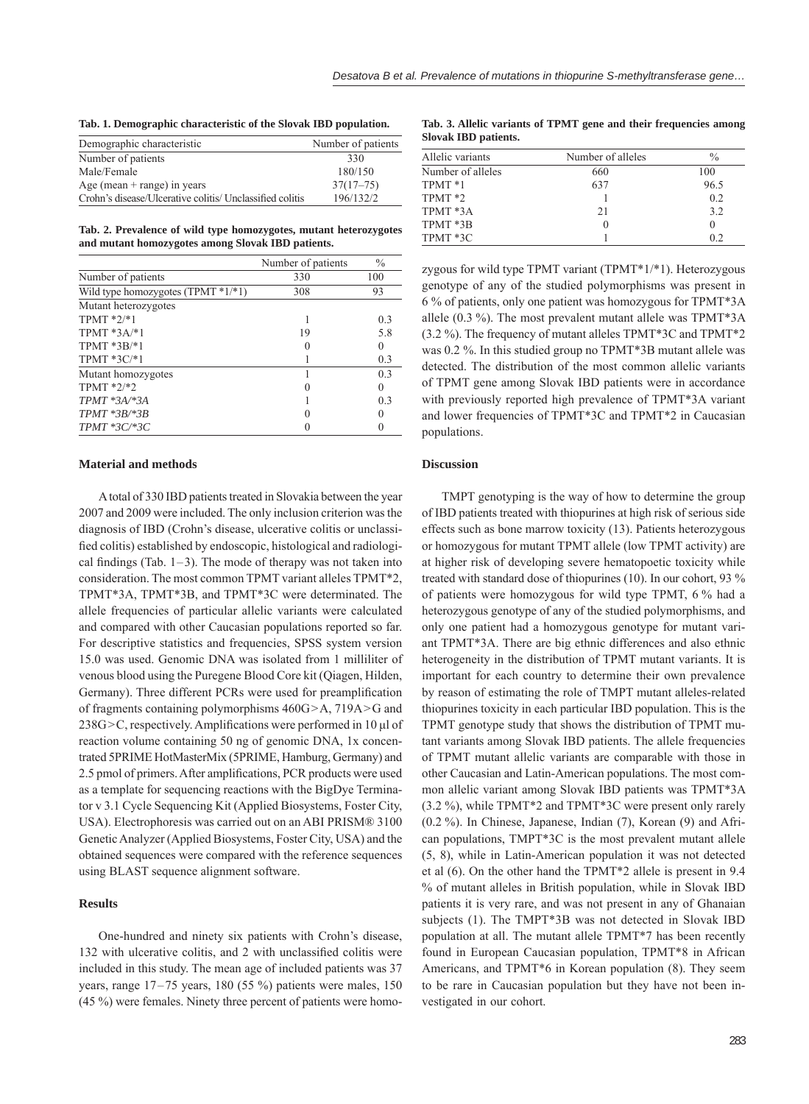**Tab. 1. Demographic characteristic of the Slovak IBD population.**

| Demographic characteristic                               | Number of patients |
|----------------------------------------------------------|--------------------|
| Number of patients                                       | 330                |
| Male/Female                                              | 180/150            |
| Age (mean $+$ range) in years                            | $37(17-75)$        |
| Crohn's disease/Ulcerative colitis/ Unclassified colitis | 196/132/2          |

**Tab. 2. Prevalence of wild type homozygotes, mutant heterozygotes and mutant homozygotes among Slovak IBD patients.**

|                                    | Number of patients | $\frac{0}{0}$ |
|------------------------------------|--------------------|---------------|
| Number of patients                 | 330                | 100           |
| Wild type homozygotes (TPMT *1/*1) | 308                | 93            |
| Mutant heterozygotes               |                    |               |
| TPMT $*2/*1$                       |                    | 0.3           |
| $TPMT*3A,*1$                       | 19                 | 5.8           |
| TPMT $*3B/*1$                      |                    | 0             |
| TPMT $*3C/*1$                      |                    | 0.3           |
| Mutant homozygotes                 |                    | 0.3           |
| $TPMT * 2/*2$                      |                    | 0             |
| $TPMT * 3A * 3A$                   |                    | 0.3           |
| $TPMT * 3B * 3B$                   |                    | 0             |
| $TPMT * 3C * 3C$                   |                    | 0             |

### **Material and methods**

A total of 330 IBD patients treated in Slovakia between the year 2007 and 2009 were included. The only inclusion criterion was the diagnosis of IBD (Crohn's disease, ulcerative colitis or unclassified colitis) established by endoscopic, histological and radiological findings (Tab.  $1-3$ ). The mode of therapy was not taken into consideration. The most common TPMT variant alleles TPMT\*2, TPMT\*3A, TPMT\*3B, and TPMT\*3C were determinated. The allele frequencies of particular allelic variants were calculated and compared with other Caucasian populations reported so far. For descriptive statistics and frequencies, SPSS system version 15.0 was used. Genomic DNA was isolated from 1 milliliter of venous blood using the Puregene Blood Core kit (Qiagen, Hilden, Germany). Three different PCRs were used for preamplification of fragments containing polymorphisms 460G>A, 719A>G and  $238G > C$ , respectively. Amplifications were performed in 10  $\mu$ l of reaction volume containing 50 ng of genomic DNA, 1x concentrated 5PRIME HotMasterMix (5PRIME, Hamburg, Germany) and 2.5 pmol of primers. After amplifications, PCR products were used as a template for sequencing reactions with the BigDye Terminator v 3.1 Cycle Sequencing Kit (Applied Biosystems, Foster City, USA). Electrophoresis was carried out on an ABI PRISM® 3100 Genetic Analyzer (Applied Biosystems, Foster City, USA) and the obtained sequences were compared with the reference sequences using BLAST sequence alignment software.

#### **Results**

One-hundred and ninety six patients with Crohn's disease, 132 with ulcerative colitis, and 2 with unclassified colitis were included in this study. The mean age of included patients was 37 years, range 17–75 years, 180 (55 %) patients were males, 150 (45 %) were females. Ninety three percent of patients were homo-

**Tab. 3. Allelic variants of TPMT gene and their frequencies among Slovak IBD patients.**

| Allelic variants   | Number of alleles | $\frac{0}{0}$ |
|--------------------|-------------------|---------------|
| Number of alleles  | 660               | 100           |
| TPMT <sup>*1</sup> | 637               | 96.5          |
| TPMT <sup>*2</sup> |                   | 0.2           |
| TPMT *3A           | 21                | 3.2           |
| TPMT *3B           | $\left( \right)$  |               |
| TPMT *3C           |                   | 02            |

zygous for wild type TPMT variant (TPMT\*1/\*1). Heterozygous genotype of any of the studied polymorphisms was present in 6 % of patients, only one patient was homozygous for TPMT\*3A allele (0.3 %). The most prevalent mutant allele was TPMT\*3A (3.2 %). The frequency of mutant alleles TPMT\*3C and TPMT\*2 was 0.2 %. In this studied group no TPMT\*3B mutant allele was detected. The distribution of the most common allelic variants of TPMT gene among Slovak IBD patients were in accordance with previously reported high prevalence of TPMT\*3A variant and lower frequencies of TPMT\*3C and TPMT\*2 in Caucasian populations.

# **Discussion**

TMPT genotyping is the way of how to determine the group of IBD patients treated with thiopurines at high risk of serious side effects such as bone marrow toxicity (13). Patients heterozygous or homozygous for mutant TPMT allele (low TPMT activity) are at higher risk of developing severe hematopoetic toxicity while treated with standard dose of thiopurines (10). In our cohort, 93 % of patients were homozygous for wild type TPMT, 6 % had a heterozygous genotype of any of the studied polymorphisms, and only one patient had a homozygous genotype for mutant variant TPMT\*3A. There are big ethnic differences and also ethnic heterogeneity in the distribution of TPMT mutant variants. It is important for each country to determine their own prevalence by reason of estimating the role of TMPT mutant alleles-related thiopurines toxicity in each particular IBD population. This is the TPMT genotype study that shows the distribution of TPMT mutant variants among Slovak IBD patients. The allele frequencies of TPMT mutant allelic variants are comparable with those in other Caucasian and Latin-American populations. The most common allelic variant among Slovak IBD patients was TPMT\*3A (3.2 %), while TPMT\*2 and TPMT\*3C were present only rarely (0.2 %). In Chinese, Japanese, Indian (7), Korean (9) and African populations, TMPT\*3C is the most prevalent mutant allele (5, 8), while in Latin-American population it was not detected et al (6). On the other hand the TPMT\*2 allele is present in 9.4 % of mutant alleles in British population, while in Slovak IBD patients it is very rare, and was not present in any of Ghanaian subjects (1). The TMPT\*3B was not detected in Slovak IBD population at all. The mutant allele TPMT\*7 has been recently found in European Caucasian population, TPMT\*8 in African Americans, and TPMT\*6 in Korean population (8). They seem to be rare in Caucasian population but they have not been investigated in our cohort.